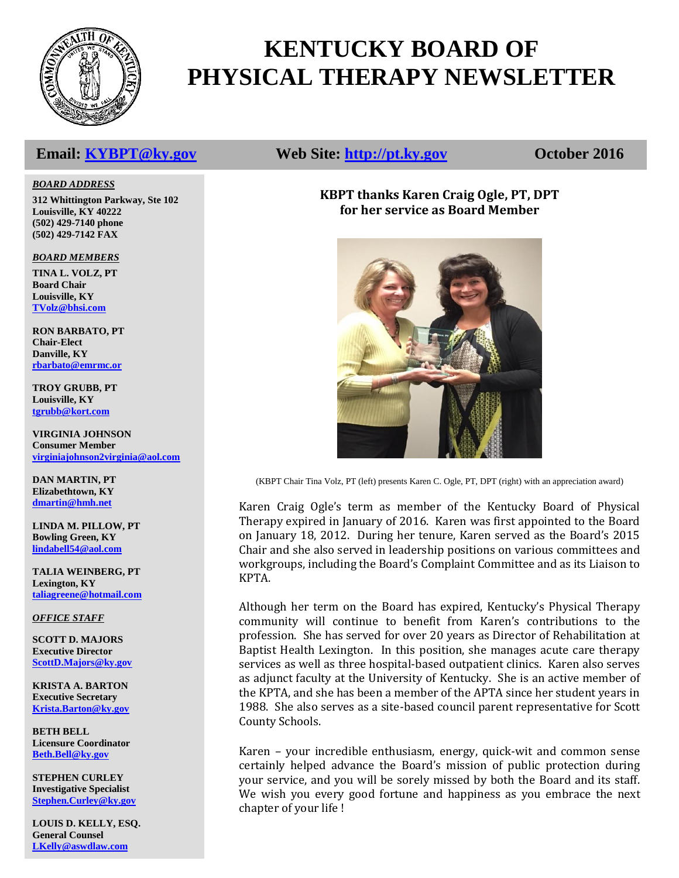

# **KENTUCKY BOARD OF PHYSICAL THERAPY NEWSLETTER**

# **Email: [KYBPT@ky.gov](mailto:KYBPT@ky.gov) Web Site: [http://pt.ky.gov](http://pt.ky.gov/) October 2016**

# **KBPT thanks Karen Craig Ogle, PT, DPT for her service as Board Member**



(KBPT Chair Tina Volz, PT (left) presents Karen C. Ogle, PT, DPT (right) with an appreciation award)

Karen Craig Ogle's term as member of the Kentucky Board of Physical Therapy expired in January of 2016. Karen was first appointed to the Board on January 18, 2012. During her tenure, Karen served as the Board's 2015 Chair and she also served in leadership positions on various committees and workgroups, including the Board's Complaint Committee and as its Liaison to KPTA.

Although her term on the Board has expired, Kentucky's Physical Therapy community will continue to benefit from Karen's contributions to the profession. She has served for over 20 years as Director of Rehabilitation at Baptist Health Lexington. In this position, she manages acute care therapy services as well as three hospital-based outpatient clinics. Karen also serves as adjunct faculty at the University of Kentucky. She is an active member of the KPTA, and she has been a member of the APTA since her student years in 1988. She also serves as a site-based council parent representative for Scott County Schools.

Karen – your incredible enthusiasm, energy, quick-wit and common sense certainly helped advance the Board's mission of public protection during your service, and you will be sorely missed by both the Board and its staff. We wish you every good fortune and happiness as you embrace the next chapter of your life !

#### *BOARD ADDRESS*

**312 Whittington Parkway, Ste 102 Louisville, KY 40222 (502) 429-7140 phone (502) 429-7142 FAX**

#### *BOARD MEMBERS*

**TINA L. VOLZ, PT Board Chair Louisville, KY [TVolz@bhsi.com](mailto:TVolz@bhsi.com)**

**RON BARBATO, PT Chair-Elect Danville, KY [rbarbato@emrmc.or](mailto:rbarbato@emrmc.or)**

**TROY GRUBB, PT Louisville, KY [tgrubb@kort.com](mailto:tgrubb@kort.com)**

**VIRGINIA JOHNSON Consumer Member [virginiajohnson2virginia@aol.com](mailto:vjohnson14769@yahoo.com)**

**DAN MARTIN, PT Elizabethtown, KY [dmartin@hmh.net](mailto:dmartin@hmh.net)**

**LINDA M. PILLOW, PT Bowling Green, KY [lindabell54@aol.com](mailto:blainpt@netzero.net)**

**TALIA WEINBERG, PT Lexington, KY [taliagreene@hotmail.com](mailto:taliagreene@hotmail.com)**

*OFFICE STAFF*

**SCOTT D. MAJORS Executive Director [ScottD.Majors@ky.gov](mailto:ScottD.Majors@ky.gov)**

**KRISTA A. BARTON Executive Secretary [Krista.Barton@ky.gov](mailto:Krista.Barton@ky.gov)**

**BETH BELL Licensure Coordinator [Beth.Bell@ky.gov](mailto:Beth.Bell@ky.gov)**

**STEPHEN CURLEY Investigative Specialist [Stephen.Curley@ky.gov](mailto:Stephen.Curley@ky.gov)**

**LOUIS D. KELLY, ESQ. General Counsel [LKelly@aswdlaw.com](mailto:LKelly@aswdlaw.com)**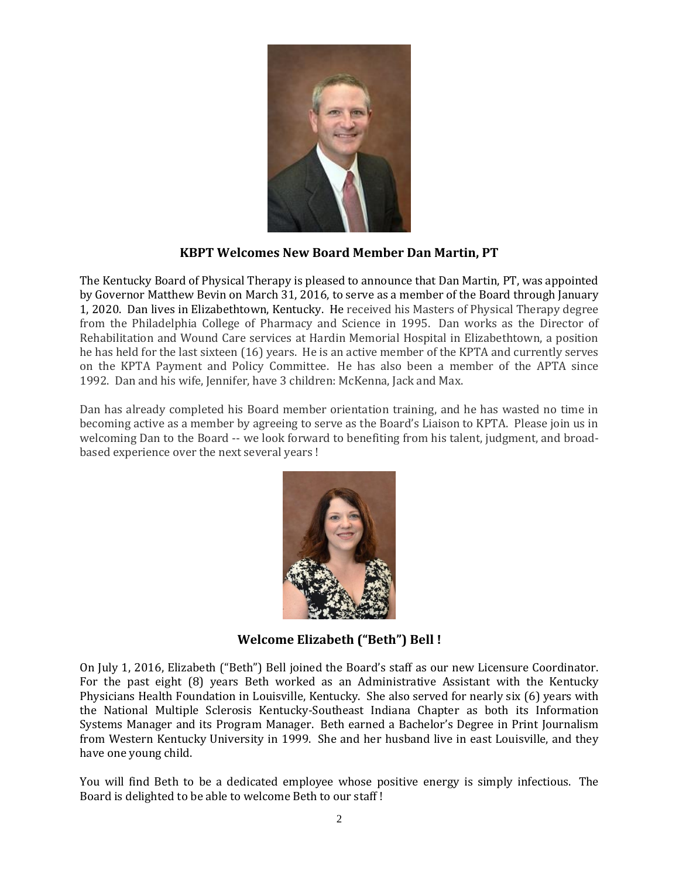

### **KBPT Welcomes New Board Member Dan Martin, PT**

The Kentucky Board of Physical Therapy is pleased to announce that Dan Martin, PT, was appointed by Governor Matthew Bevin on March 31, 2016, to serve as a member of the Board through January 1, 2020. Dan lives in Elizabethtown, Kentucky. He received his Masters of Physical Therapy degree from the Philadelphia College of Pharmacy and Science in 1995. Dan works as the Director of Rehabilitation and Wound Care services at Hardin Memorial Hospital in Elizabethtown, a position he has held for the last sixteen (16) years. He is an active member of the KPTA and currently serves on the KPTA Payment and Policy Committee. He has also been a member of the APTA since 1992. Dan and his wife, Jennifer, have 3 children: McKenna, Jack and Max.

Dan has already completed his Board member orientation training, and he has wasted no time in becoming active as a member by agreeing to serve as the Board's Liaison to KPTA. Please join us in welcoming Dan to the Board -- we look forward to benefiting from his talent, judgment, and broadbased experience over the next several years !



**Welcome Elizabeth ("Beth") Bell !**

On July 1, 2016, Elizabeth ("Beth") Bell joined the Board's staff as our new Licensure Coordinator. For the past eight (8) years Beth worked as an Administrative Assistant with the Kentucky Physicians Health Foundation in Louisville, Kentucky. She also served for nearly six (6) years with the National Multiple Sclerosis Kentucky-Southeast Indiana Chapter as both its Information Systems Manager and its Program Manager. Beth earned a Bachelor's Degree in Print Journalism from Western Kentucky University in 1999. She and her husband live in east Louisville, and they have one young child.

You will find Beth to be a dedicated employee whose positive energy is simply infectious. The Board is delighted to be able to welcome Beth to our staff !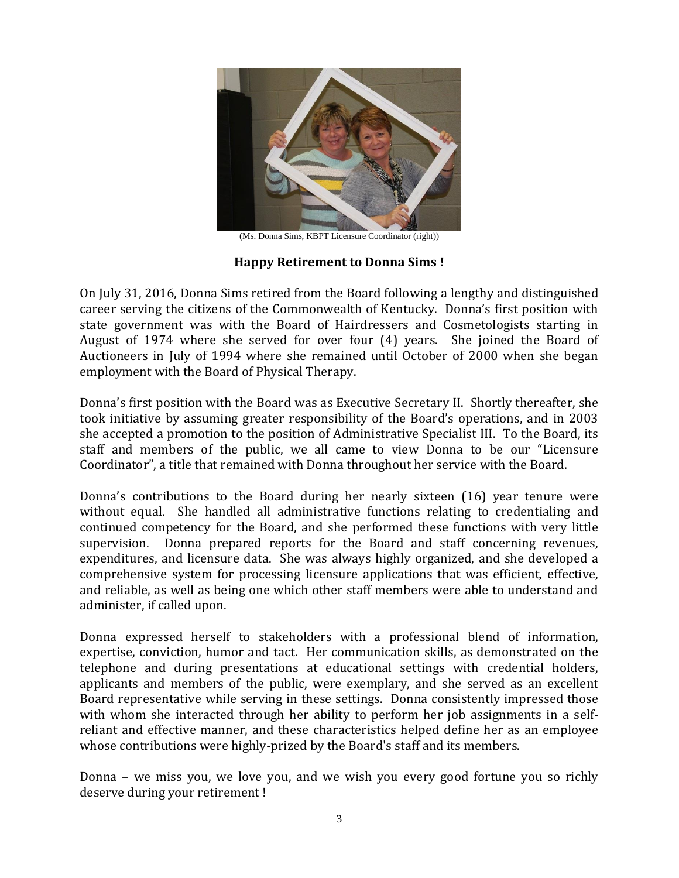

(Ms. Donna Sims, KBPT Licensure Coordinator (right))

# **Happy Retirement to Donna Sims !**

On July 31, 2016, Donna Sims retired from the Board following a lengthy and distinguished career serving the citizens of the Commonwealth of Kentucky. Donna's first position with state government was with the Board of Hairdressers and Cosmetologists starting in August of 1974 where she served for over four (4) years. She joined the Board of Auctioneers in July of 1994 where she remained until October of 2000 when she began employment with the Board of Physical Therapy.

Donna's first position with the Board was as Executive Secretary II. Shortly thereafter, she took initiative by assuming greater responsibility of the Board's operations, and in 2003 she accepted a promotion to the position of Administrative Specialist III. To the Board, its staff and members of the public, we all came to view Donna to be our "Licensure Coordinator", a title that remained with Donna throughout her service with the Board.

Donna's contributions to the Board during her nearly sixteen (16) year tenure were without equal. She handled all administrative functions relating to credentialing and continued competency for the Board, and she performed these functions with very little supervision. Donna prepared reports for the Board and staff concerning revenues, expenditures, and licensure data. She was always highly organized, and she developed a comprehensive system for processing licensure applications that was efficient, effective, and reliable, as well as being one which other staff members were able to understand and administer, if called upon.

Donna expressed herself to stakeholders with a professional blend of information, expertise, conviction, humor and tact. Her communication skills, as demonstrated on the telephone and during presentations at educational settings with credential holders, applicants and members of the public, were exemplary, and she served as an excellent Board representative while serving in these settings. Donna consistently impressed those with whom she interacted through her ability to perform her job assignments in a selfreliant and effective manner, and these characteristics helped define her as an employee whose contributions were highly-prized by the Board's staff and its members.

Donna – we miss you, we love you, and we wish you every good fortune you so richly deserve during your retirement !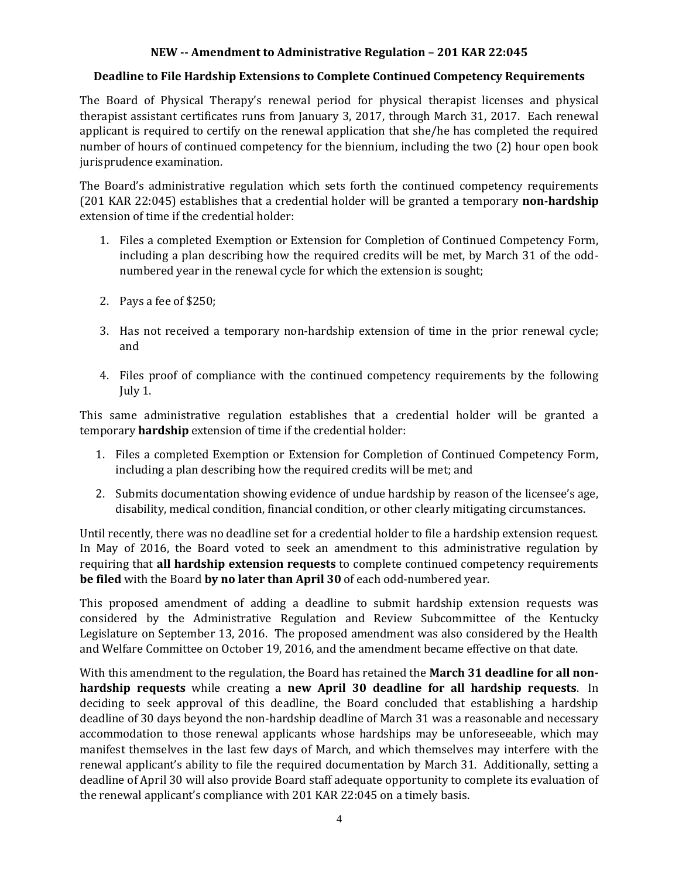### **NEW -- Amendment to Administrative Regulation – 201 KAR 22:045**

### **Deadline to File Hardship Extensions to Complete Continued Competency Requirements**

The Board of Physical Therapy's renewal period for physical therapist licenses and physical therapist assistant certificates runs from January 3, 2017, through March 31, 2017. Each renewal applicant is required to certify on the renewal application that she/he has completed the required number of hours of continued competency for the biennium, including the two (2) hour open book jurisprudence examination.

The Board's administrative regulation which sets forth the continued competency requirements (201 KAR 22:045) establishes that a credential holder will be granted a temporary **non-hardship** extension of time if the credential holder:

- 1. Files a completed Exemption or Extension for Completion of Continued Competency Form, including a plan describing how the required credits will be met, by March 31 of the oddnumbered year in the renewal cycle for which the extension is sought;
- 2. Pays a fee of \$250;
- 3. Has not received a temporary non-hardship extension of time in the prior renewal cycle; and
- 4. Files proof of compliance with the continued competency requirements by the following July 1.

This same administrative regulation establishes that a credential holder will be granted a temporary **hardship** extension of time if the credential holder:

- 1. Files a completed Exemption or Extension for Completion of Continued Competency Form, including a plan describing how the required credits will be met; and
- 2. Submits documentation showing evidence of undue hardship by reason of the licensee's age, disability, medical condition, financial condition, or other clearly mitigating circumstances.

Until recently, there was no deadline set for a credential holder to file a hardship extension request. In May of 2016, the Board voted to seek an amendment to this administrative regulation by requiring that **all hardship extension requests** to complete continued competency requirements **be filed** with the Board **by no later than April 30** of each odd-numbered year.

This proposed amendment of adding a deadline to submit hardship extension requests was considered by the Administrative Regulation and Review Subcommittee of the Kentucky Legislature on September 13, 2016. The proposed amendment was also considered by the Health and Welfare Committee on October 19, 2016, and the amendment became effective on that date.

With this amendment to the regulation, the Board has retained the **March 31 deadline for all nonhardship requests** while creating a **new April 30 deadline for all hardship requests**. In deciding to seek approval of this deadline, the Board concluded that establishing a hardship deadline of 30 days beyond the non-hardship deadline of March 31 was a reasonable and necessary accommodation to those renewal applicants whose hardships may be unforeseeable, which may manifest themselves in the last few days of March, and which themselves may interfere with the renewal applicant's ability to file the required documentation by March 31. Additionally, setting a deadline of April 30 will also provide Board staff adequate opportunity to complete its evaluation of the renewal applicant's compliance with 201 KAR 22:045 on a timely basis.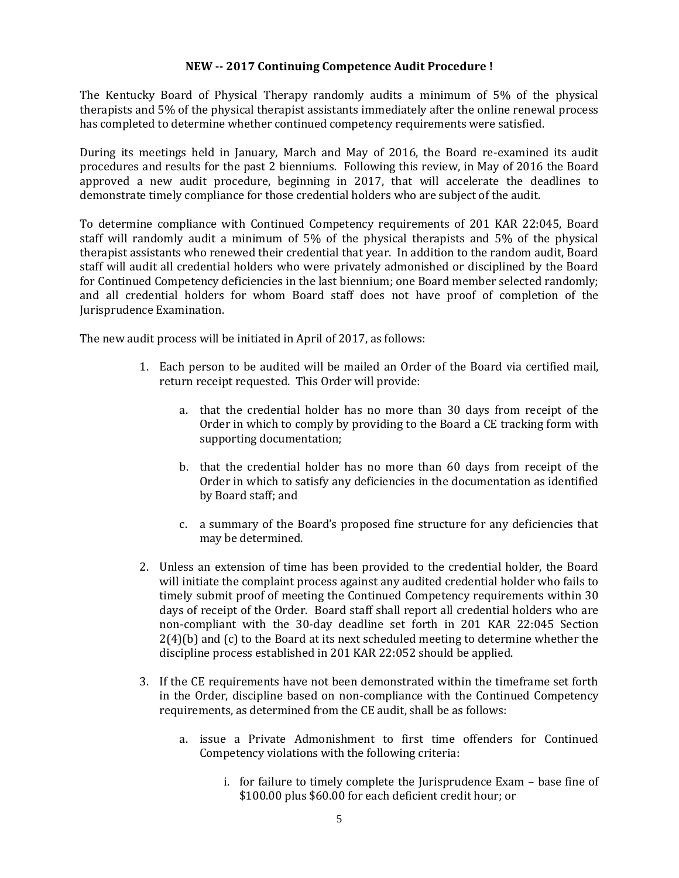### **NEW -- 2017 Continuing Competence Audit Procedure !**

The Kentucky Board of Physical Therapy randomly audits a minimum of 5% of the physical therapists and 5% of the physical therapist assistants immediately after the online renewal process has completed to determine whether continued competency requirements were satisfied.

During its meetings held in January, March and May of 2016, the Board re-examined its audit procedures and results for the past 2 bienniums. Following this review, in May of 2016 the Board approved a new audit procedure, beginning in 2017, that will accelerate the deadlines to demonstrate timely compliance for those credential holders who are subject of the audit.

To determine compliance with Continued Competency requirements of 201 KAR 22:045, Board staff will randomly audit a minimum of 5% of the physical therapists and 5% of the physical therapist assistants who renewed their credential that year. In addition to the random audit, Board staff will audit all credential holders who were privately admonished or disciplined by the Board for Continued Competency deficiencies in the last biennium; one Board member selected randomly; and all credential holders for whom Board staff does not have proof of completion of the Jurisprudence Examination.

The new audit process will be initiated in April of 2017, as follows:

- 1. Each person to be audited will be mailed an Order of the Board via certified mail, return receipt requested. This Order will provide:
	- a. that the credential holder has no more than 30 days from receipt of the Order in which to comply by providing to the Board a CE tracking form with supporting documentation;
	- b. that the credential holder has no more than 60 days from receipt of the Order in which to satisfy any deficiencies in the documentation as identified by Board staff; and
	- c. a summary of the Board's proposed fine structure for any deficiencies that may be determined.
- 2. Unless an extension of time has been provided to the credential holder, the Board will initiate the complaint process against any audited credential holder who fails to timely submit proof of meeting the Continued Competency requirements within 30 days of receipt of the Order. Board staff shall report all credential holders who are non-compliant with the 30-day deadline set forth in 201 KAR 22:045 Section  $2(4)(b)$  and (c) to the Board at its next scheduled meeting to determine whether the discipline process established in 201 KAR 22:052 should be applied.
- 3. If the CE requirements have not been demonstrated within the timeframe set forth in the Order, discipline based on non-compliance with the Continued Competency requirements, as determined from the CE audit, shall be as follows:
	- a. issue a Private Admonishment to first time offenders for Continued Competency violations with the following criteria:
		- i. for failure to timely complete the Jurisprudence Exam base fine of \$100.00 plus \$60.00 for each deficient credit hour; or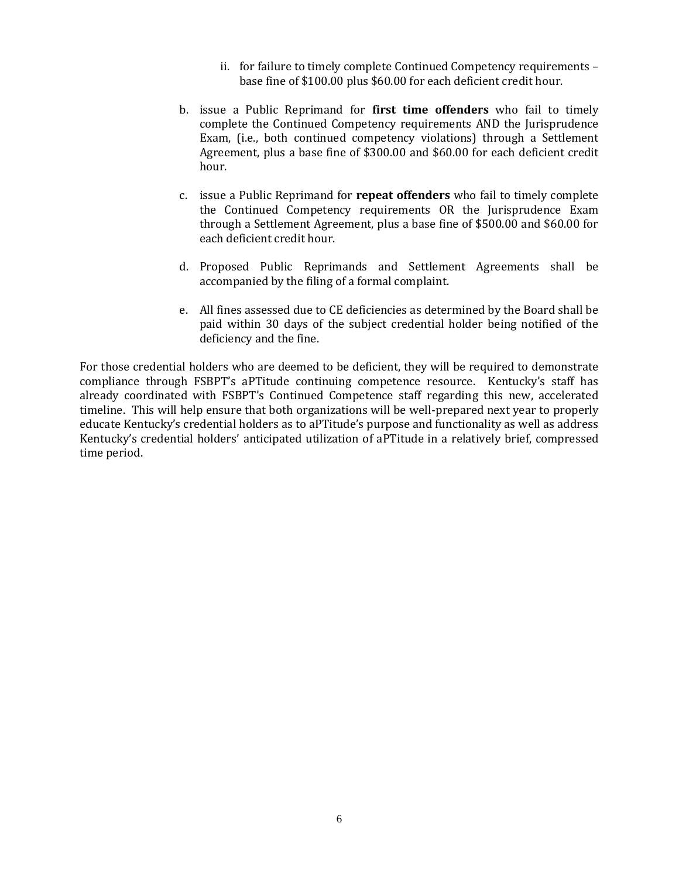- ii. for failure to timely complete Continued Competency requirements base fine of \$100.00 plus \$60.00 for each deficient credit hour.
- b. issue a Public Reprimand for **first time offenders** who fail to timely complete the Continued Competency requirements AND the Jurisprudence Exam, (i.e., both continued competency violations) through a Settlement Agreement, plus a base fine of \$300.00 and \$60.00 for each deficient credit hour.
- c. issue a Public Reprimand for **repeat offenders** who fail to timely complete the Continued Competency requirements OR the Jurisprudence Exam through a Settlement Agreement, plus a base fine of \$500.00 and \$60.00 for each deficient credit hour.
- d. Proposed Public Reprimands and Settlement Agreements shall be accompanied by the filing of a formal complaint.
- e. All fines assessed due to CE deficiencies as determined by the Board shall be paid within 30 days of the subject credential holder being notified of the deficiency and the fine.

For those credential holders who are deemed to be deficient, they will be required to demonstrate compliance through FSBPT's aPTitude continuing competence resource. Kentucky's staff has already coordinated with FSBPT's Continued Competence staff regarding this new, accelerated timeline. This will help ensure that both organizations will be well-prepared next year to properly educate Kentucky's credential holders as to aPTitude's purpose and functionality as well as address Kentucky's credential holders' anticipated utilization of aPTitude in a relatively brief, compressed time period.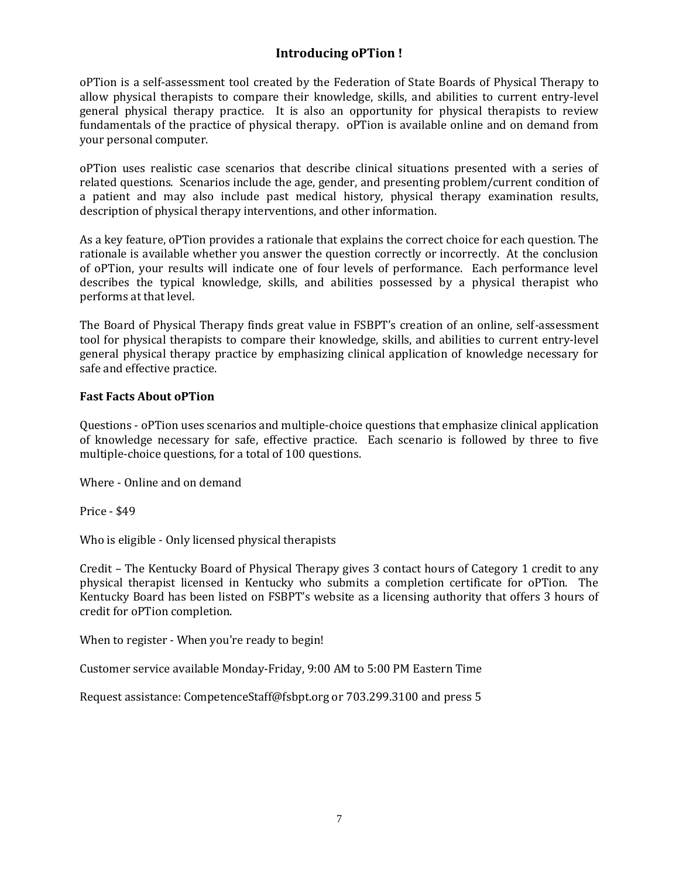# **Introducing oPTion !**

oPTion is a self-assessment tool created by the Federation of State Boards of Physical Therapy to allow physical therapists to compare their knowledge, skills, and abilities to current entry-level general physical therapy practice. It is also an opportunity for physical therapists to review fundamentals of the practice of physical therapy. oPTion is available online and on demand from your personal computer.

oPTion uses realistic case scenarios that describe clinical situations presented with a series of related questions. Scenarios include the age, gender, and presenting problem/current condition of a patient and may also include past medical history, physical therapy examination results, description of physical therapy interventions, and other information.

As a key feature, oPTion provides a rationale that explains the correct choice for each question. The rationale is available whether you answer the question correctly or incorrectly. At the conclusion of oPTion, your results will indicate one of four levels of performance. Each performance level describes the typical knowledge, skills, and abilities possessed by a physical therapist who performs at that level.

The Board of Physical Therapy finds great value in FSBPT's creation of an online, self-assessment tool for physical therapists to compare their knowledge, skills, and abilities to current entry-level general physical therapy practice by emphasizing clinical application of knowledge necessary for safe and effective practice.

### **Fast Facts About oPTion**

Questions - oPTion uses scenarios and multiple-choice questions that emphasize clinical application of knowledge necessary for safe, effective practice. Each scenario is followed by three to five multiple-choice questions, for a total of 100 questions.

Where - Online and on demand

Price - \$49

Who is eligible - Only licensed physical therapists

Credit – The Kentucky Board of Physical Therapy gives 3 contact hours of Category 1 credit to any physical therapist licensed in Kentucky who submits a completion certificate for oPTion. The Kentucky Board has been listed on FSBPT's website as a licensing authority that offers 3 hours of credit for oPTion completion.

When to register - When you're ready to begin!

Customer service available Monday-Friday, 9:00 AM to 5:00 PM Eastern Time

Request assistance: CompetenceStaff@fsbpt.org or 703.299.3100 and press 5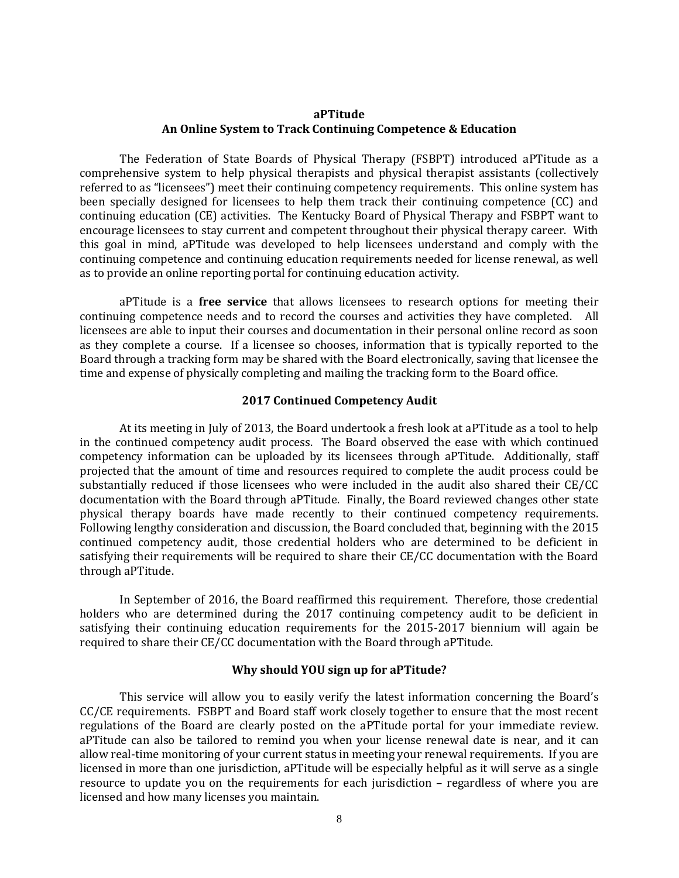#### **aPTitude An Online System to Track Continuing Competence & Education**

The Federation of State Boards of Physical Therapy (FSBPT) introduced aPTitude as a comprehensive system to help physical therapists and physical therapist assistants (collectively referred to as "licensees") meet their continuing competency requirements. This online system has been specially designed for licensees to help them track their continuing competence (CC) and continuing education (CE) activities. The Kentucky Board of Physical Therapy and FSBPT want to encourage licensees to stay current and competent throughout their physical therapy career. With this goal in mind, aPTitude was developed to help licensees understand and comply with the continuing competence and continuing education requirements needed for license renewal, as well as to provide an online reporting portal for continuing education activity.

aPTitude is a **free service** that allows licensees to research options for meeting their continuing competence needs and to record the courses and activities they have completed. All licensees are able to input their courses and documentation in their personal online record as soon as they complete a course. If a licensee so chooses, information that is typically reported to the Board through a tracking form may be shared with the Board electronically, saving that licensee the time and expense of physically completing and mailing the tracking form to the Board office.

#### **2017 Continued Competency Audit**

At its meeting in July of 2013, the Board undertook a fresh look at aPTitude as a tool to help in the continued competency audit process. The Board observed the ease with which continued competency information can be uploaded by its licensees through aPTitude. Additionally, staff projected that the amount of time and resources required to complete the audit process could be substantially reduced if those licensees who were included in the audit also shared their CE/CC documentation with the Board through aPTitude. Finally, the Board reviewed changes other state physical therapy boards have made recently to their continued competency requirements. Following lengthy consideration and discussion, the Board concluded that, beginning with the 2015 continued competency audit, those credential holders who are determined to be deficient in satisfying their requirements will be required to share their CE/CC documentation with the Board through aPTitude.

In September of 2016, the Board reaffirmed this requirement. Therefore, those credential holders who are determined during the 2017 continuing competency audit to be deficient in satisfying their continuing education requirements for the 2015-2017 biennium will again be required to share their CE/CC documentation with the Board through aPTitude.

#### **Why should YOU sign up for aPTitude?**

This service will allow you to easily verify the latest information concerning the Board's CC/CE requirements. FSBPT and Board staff work closely together to ensure that the most recent regulations of the Board are clearly posted on the aPTitude portal for your immediate review. aPTitude can also be tailored to remind you when your license renewal date is near, and it can allow real-time monitoring of your current status in meeting your renewal requirements. If you are licensed in more than one jurisdiction, aPTitude will be especially helpful as it will serve as a single resource to update you on the requirements for each jurisdiction – regardless of where you are licensed and how many licenses you maintain.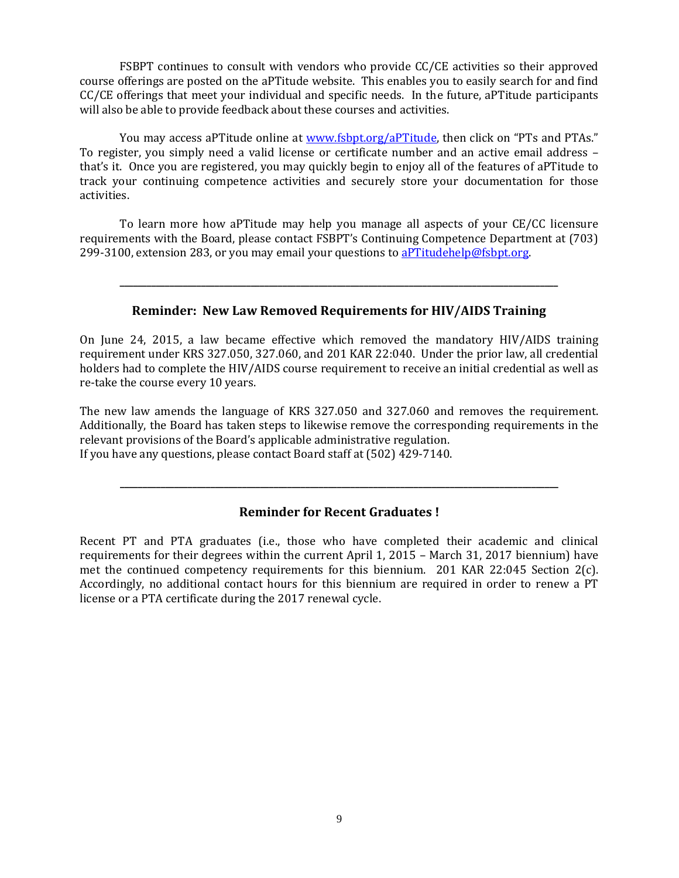FSBPT continues to consult with vendors who provide CC/CE activities so their approved course offerings are posted on the aPTitude website. This enables you to easily search for and find CC/CE offerings that meet your individual and specific needs. In the future, aPTitude participants will also be able to provide feedback about these courses and activities.

You may access aPTitude online at [www.fsbpt.org/aPTitude](http://www.fsbpt.org/aPTitude), then click on "PTs and PTAs." To register, you simply need a valid license or certificate number and an active email address – that's it. Once you are registered, you may quickly begin to enjoy all of the features of aPTitude to track your continuing competence activities and securely store your documentation for those activities.

To learn more how aPTitude may help you manage all aspects of your CE/CC licensure requirements with the Board, please contact FSBPT's Continuing Competence Department at (703) 299-3100, extension 283, or you may email your questions to [aPTitudehelp@fsbpt.org.](mailto:aPTitudehelp@fsbpt.org)

### **Reminder: New Law Removed Requirements for HIV/AIDS Training**

**\_\_\_\_\_\_\_\_\_\_\_\_\_\_\_\_\_\_\_\_\_\_\_\_\_\_\_\_\_\_\_\_\_\_\_\_\_\_\_\_\_\_\_\_\_\_\_\_\_\_\_\_\_\_\_\_\_\_\_\_\_\_\_\_\_\_\_\_\_\_\_\_\_\_\_\_\_\_\_\_\_\_\_\_\_\_\_\_\_\_\_\_\_\_\_\_\_**

On June 24, 2015, a law became effective which removed the mandatory HIV/AIDS training requirement under KRS 327.050, 327.060, and 201 KAR 22:040. Under the prior law, all credential holders had to complete the HIV/AIDS course requirement to receive an initial credential as well as re-take the course every 10 years.

The new law amends the language of KRS 327.050 and 327.060 and removes the requirement. Additionally, the Board has taken steps to likewise remove the corresponding requirements in the relevant provisions of the Board's applicable administrative regulation. If you have any questions, please contact Board staff at (502) 429-7140.

# **Reminder for Recent Graduates !**

**\_\_\_\_\_\_\_\_\_\_\_\_\_\_\_\_\_\_\_\_\_\_\_\_\_\_\_\_\_\_\_\_\_\_\_\_\_\_\_\_\_\_\_\_\_\_\_\_\_\_\_\_\_\_\_\_\_\_\_\_\_\_\_\_\_\_\_\_\_\_\_\_\_\_\_\_\_\_\_\_\_\_\_\_\_\_\_\_\_\_\_\_\_\_\_\_\_**

Recent PT and PTA graduates (i.e., those who have completed their academic and clinical requirements for their degrees within the current April 1, 2015 – March 31, 2017 biennium) have met the continued competency requirements for this biennium. 201 KAR 22:045 Section 2(c). Accordingly, no additional contact hours for this biennium are required in order to renew a PT license or a PTA certificate during the 2017 renewal cycle.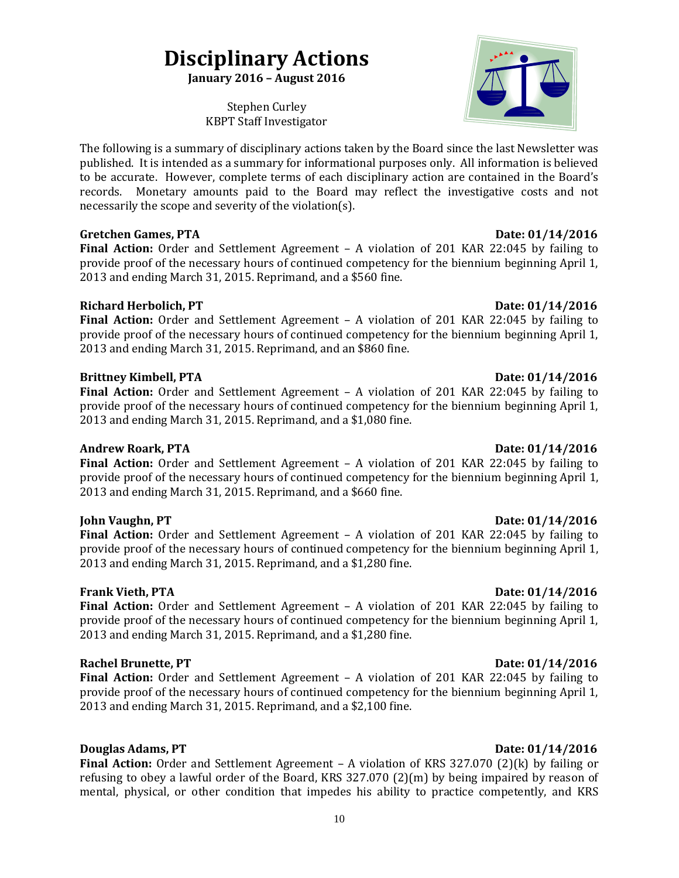# **Disciplinary Actions**

**January 2016 – August 2016**

Stephen Curley KBPT Staff Investigator

The following is a summary of disciplinary actions taken by the Board since the last Newsletter was published. It is intended as a summary for informational purposes only. All information is believed to be accurate. However, complete terms of each disciplinary action are contained in the Board's records. Monetary amounts paid to the Board may reflect the investigative costs and not necessarily the scope and severity of the violation(s).

### **Gretchen Games, PTA Date: 01/14/2016**

**Final Action:** Order and Settlement Agreement – A violation of 201 KAR 22:045 by failing to provide proof of the necessary hours of continued competency for the biennium beginning April 1, 2013 and ending March 31, 2015. Reprimand, and a \$560 fine.

# **Richard Herbolich, PT** Date: 01/14/2016

**Final Action:** Order and Settlement Agreement – A violation of 201 KAR 22:045 by failing to provide proof of the necessary hours of continued competency for the biennium beginning April 1, 2013 and ending March 31, 2015. Reprimand, and an \$860 fine.

### **Brittney Kimbell, PTA** Date: 01/14/2016

**Final Action:** Order and Settlement Agreement – A violation of 201 KAR 22:045 by failing to provide proof of the necessary hours of continued competency for the biennium beginning April 1, 2013 and ending March 31, 2015. Reprimand, and a \$1,080 fine.

# **Andrew Roark, PTA** 2016 **Date: 01/14/2016**

Final Action: Order and Settlement Agreement - A violation of 201 KAR 22:045 by failing to provide proof of the necessary hours of continued competency for the biennium beginning April 1, 2013 and ending March 31, 2015. Reprimand, and a \$660 fine.

**Final Action:** Order and Settlement Agreement – A violation of 201 KAR 22:045 by failing to provide proof of the necessary hours of continued competency for the biennium beginning April 1, 2013 and ending March 31, 2015. Reprimand, and a \$1,280 fine.

# **Frank Vieth, PTA** Date: 01/14/2016

**Final Action:** Order and Settlement Agreement – A violation of 201 KAR 22:045 by failing to provide proof of the necessary hours of continued competency for the biennium beginning April 1, 2013 and ending March 31, 2015. Reprimand, and a \$1,280 fine.

### **Rachel Brunette, PT** Date: 01/14/2016

**Final Action:** Order and Settlement Agreement – A violation of 201 KAR 22:045 by failing to provide proof of the necessary hours of continued competency for the biennium beginning April 1, 2013 and ending March 31, 2015. Reprimand, and a \$2,100 fine.

# **Douglas Adams, PT** Date: 01/14/2016

**Final Action:** Order and Settlement Agreement – A violation of KRS 327.070 (2)(k) by failing or refusing to obey a lawful order of the Board, KRS 327.070 (2)(m) by being impaired by reason of mental, physical, or other condition that impedes his ability to practice competently, and KRS

### 10

### **John Vaughn, PT Date: 01/14/2016**